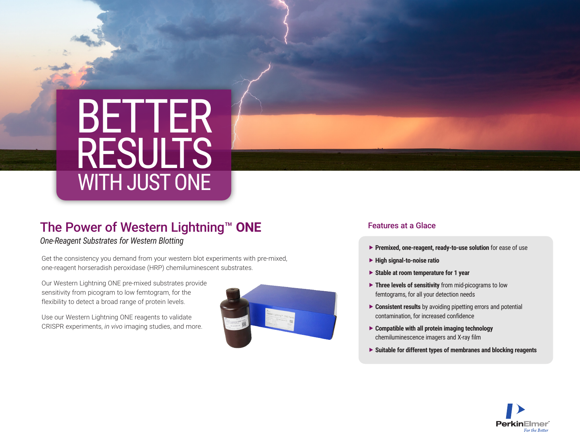# BETTER RESULTS WITH JUST ONE

## The Power of Western Lightning™ **ONE**

*One-Reagent Substrates for Western Blotting*

Get the consistency you demand from your western blot experiments with pre-mixed, one-reagent horseradish peroxidase (HRP) chemiluminescent substrates.

Our Western Lightning ONE pre-mixed substrates provide sensitivity from picogram to low femtogram, for the flexibility to detect a broad range of protein levels.

Use our Western Lightning ONE reagents to validate CRISPR experiments, *in vivo* imaging studies, and more.



#### Features at a Glace

- **Premixed, one-reagent, ready-to-use solution** for ease of use
- **High signal-to-noise ratio**
- **Stable at room temperature for 1 year**
- **Three levels of sensitivity** from mid-picograms to low femtograms, for all your detection needs
- ▶ **Consistent results** by avoiding pipetting errors and potential contamination, for increased confidence
- **Compatible with all protein imaging technology** chemiluminescence imagers and X-ray film
- **Suitable for different types of membranes and blocking reagents**